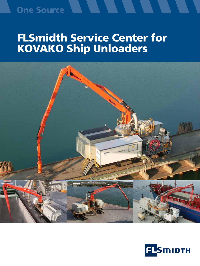### **One Source**

# FLSmidth Service Center for KOVAKO Ship Unloaders